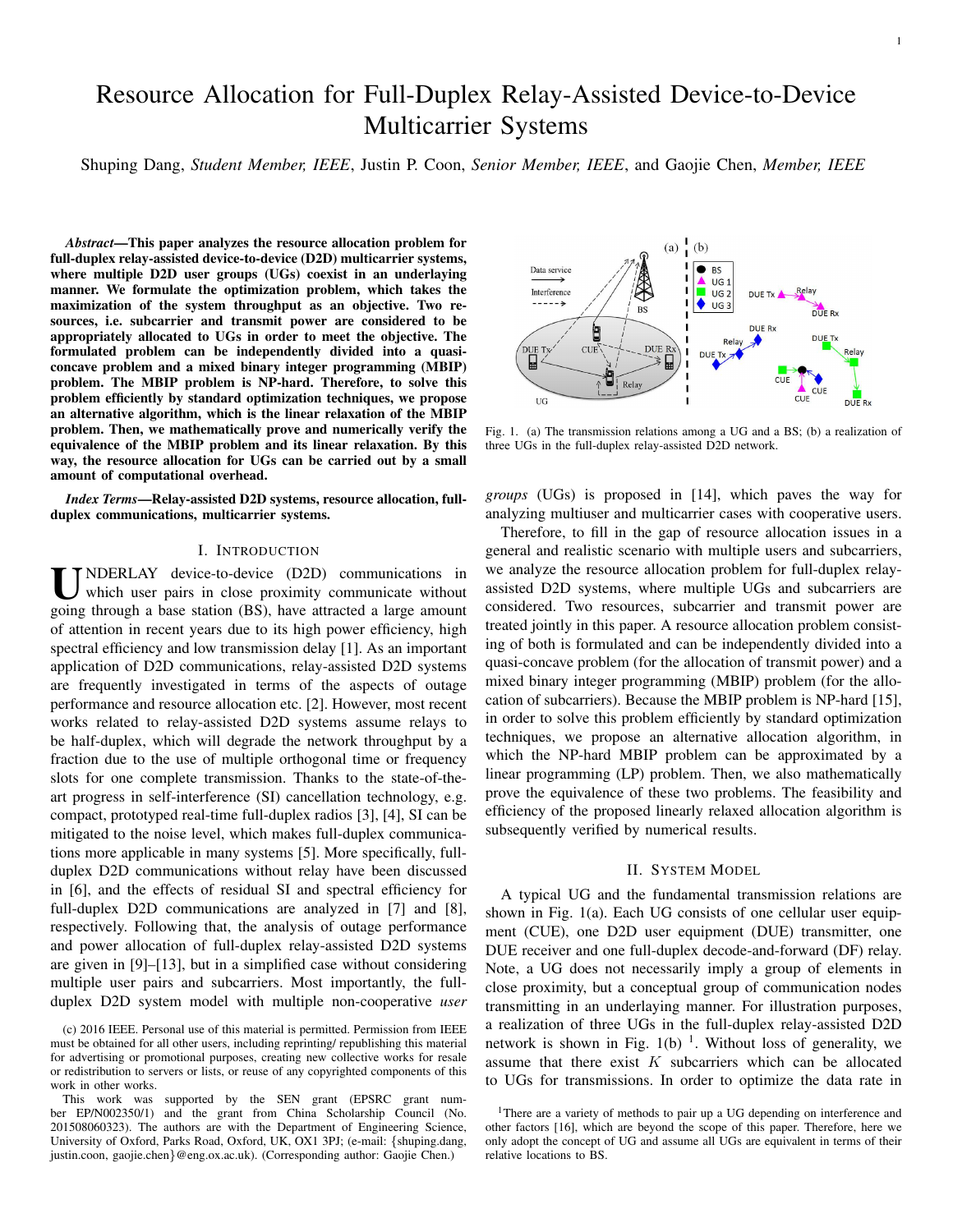# Resource Allocation for Full-Duplex Relay-Assisted Device-to-Device Multicarrier Systems

Shuping Dang, *Student Member, IEEE*, Justin P. Coon, *Senior Member, IEEE*, and Gaojie Chen, *Member, IEEE*

*Abstract*—This paper analyzes the resource allocation problem for full-duplex relay-assisted device-to-device (D2D) multicarrier systems, where multiple D2D user groups (UGs) coexist in an underlaying manner. We formulate the optimization problem, which takes the maximization of the system throughput as an objective. Two resources, i.e. subcarrier and transmit power are considered to be appropriately allocated to UGs in order to meet the objective. The formulated problem can be independently divided into a quasiconcave problem and a mixed binary integer programming (MBIP) problem. The MBIP problem is NP-hard. Therefore, to solve this problem efficiently by standard optimization techniques, we propose an alternative algorithm, which is the linear relaxation of the MBIP problem. Then, we mathematically prove and numerically verify the equivalence of the MBIP problem and its linear relaxation. By this way, the resource allocation for UGs can be carried out by a small amount of computational overhead.

*Index Terms*—Relay-assisted D2D systems, resource allocation, fullduplex communications, multicarrier systems.

#### I. INTRODUCTION

U NDERLAY device-to-device (D2D) communications in which user pairs in close proximity communicate without going through a base station (BS), have attracted a large amount NDERLAY device-to-device (D2D) communications in which user pairs in close proximity communicate without of attention in recent years due to its high power efficiency, high spectral efficiency and low transmission delay [1]. As an important application of D2D communications, relay-assisted D2D systems are frequently investigated in terms of the aspects of outage performance and resource allocation etc. [2]. However, most recent works related to relay-assisted D2D systems assume relays to be half-duplex, which will degrade the network throughput by a fraction due to the use of multiple orthogonal time or frequency slots for one complete transmission. Thanks to the state-of-theart progress in self-interference (SI) cancellation technology, e.g. compact, prototyped real-time full-duplex radios [3], [4], SI can be mitigated to the noise level, which makes full-duplex communications more applicable in many systems [5]. More specifically, fullduplex D2D communications without relay have been discussed in [6], and the effects of residual SI and spectral efficiency for full-duplex D2D communications are analyzed in [7] and [8], respectively. Following that, the analysis of outage performance and power allocation of full-duplex relay-assisted D2D systems are given in [9]–[13], but in a simplified case without considering multiple user pairs and subcarriers. Most importantly, the fullduplex D2D system model with multiple non-cooperative *user*

 $(b)$  $(a)$ Data service  $B$  BS  $HG$ Interference  $\Box$  UG 2 DUE Tx  $\overline{\bullet}$  UG 3 DUE Rx DUE<sub>R</sub> Ù  $DUE$  Rx **CUE** DUE Tx<br>External<br>External  $\leq$ DUE<sub>T</sub> Relay UG DUE<sub>R</sub>

Fig. 1. (a) The transmission relations among a UG and a BS; (b) a realization of three UGs in the full-duplex relay-assisted D2D network.

*groups* (UGs) is proposed in [14], which paves the way for analyzing multiuser and multicarrier cases with cooperative users.

Therefore, to fill in the gap of resource allocation issues in a general and realistic scenario with multiple users and subcarriers, we analyze the resource allocation problem for full-duplex relayassisted D2D systems, where multiple UGs and subcarriers are considered. Two resources, subcarrier and transmit power are treated jointly in this paper. A resource allocation problem consisting of both is formulated and can be independently divided into a quasi-concave problem (for the allocation of transmit power) and a mixed binary integer programming (MBIP) problem (for the allocation of subcarriers). Because the MBIP problem is NP-hard [15], in order to solve this problem efficiently by standard optimization techniques, we propose an alternative allocation algorithm, in which the NP-hard MBIP problem can be approximated by a linear programming (LP) problem. Then, we also mathematically prove the equivalence of these two problems. The feasibility and efficiency of the proposed linearly relaxed allocation algorithm is subsequently verified by numerical results.

#### II. SYSTEM MODEL

A typical UG and the fundamental transmission relations are shown in Fig. 1(a). Each UG consists of one cellular user equipment (CUE), one D2D user equipment (DUE) transmitter, one DUE receiver and one full-duplex decode-and-forward (DF) relay. Note, a UG does not necessarily imply a group of elements in close proximity, but a conceptual group of communication nodes transmitting in an underlaying manner. For illustration purposes, a realization of three UGs in the full-duplex relay-assisted D2D network is shown in Fig.  $1(b)$  <sup>1</sup>. Without loss of generality, we assume that there exist  $K$  subcarriers which can be allocated to UGs for transmissions. In order to optimize the data rate in



<sup>(</sup>c) 2016 IEEE. Personal use of this material is permitted. Permission from IEEE must be obtained for all other users, including reprinting/ republishing this material for advertising or promotional purposes, creating new collective works for resale or redistribution to servers or lists, or reuse of any copyrighted components of this work in other works.

This work was supported by the SEN grant (EPSRC grant number EP/N002350/1) and the grant from China Scholarship Council (No. 201508060323). The authors are with the Department of Engineering Science, University of Oxford, Parks Road, Oxford, UK, OX1 3PJ; (e-mail: {shuping.dang, justin.coon, gaojie.chen}@eng.ox.ac.uk). (Corresponding author: Gaojie Chen.)

<sup>&</sup>lt;sup>1</sup>There are a variety of methods to pair up a UG depending on interference and other factors [16], which are beyond the scope of this paper. Therefore, here we only adopt the concept of UG and assume all UGs are equivalent in terms of their relative locations to BS.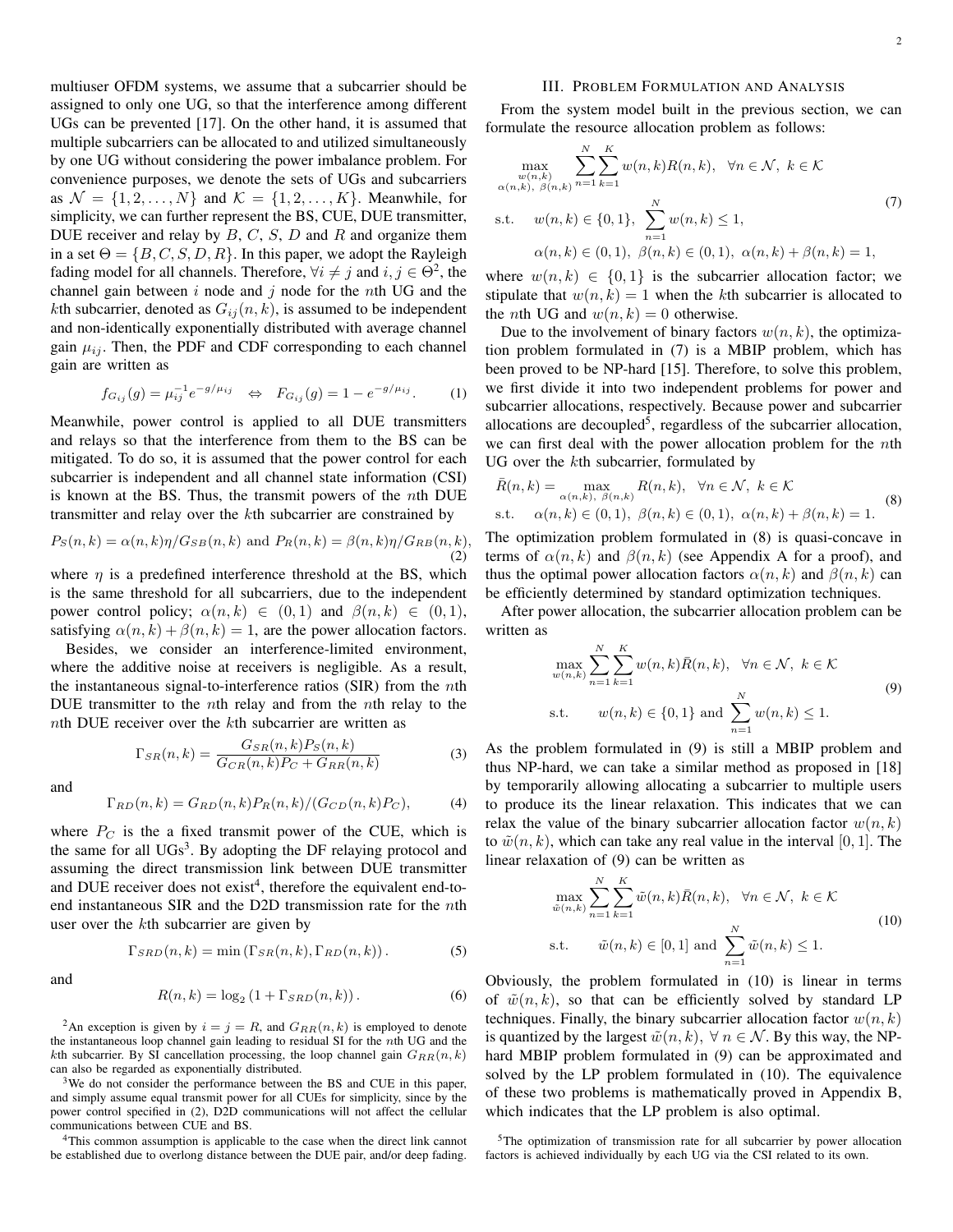multiuser OFDM systems, we assume that a subcarrier should be assigned to only one UG, so that the interference among different UGs can be prevented [17]. On the other hand, it is assumed that multiple subcarriers can be allocated to and utilized simultaneously by one UG without considering the power imbalance problem. For convenience purposes, we denote the sets of UGs and subcarriers as  $\mathcal{N} = \{1, 2, \ldots, N\}$  and  $\mathcal{K} = \{1, 2, \ldots, K\}$ . Meanwhile, for simplicity, we can further represent the BS, CUE, DUE transmitter, DUE receiver and relay by  $B, C, S, D$  and  $R$  and organize them in a set  $\Theta = \{B, C, S, D, R\}$ . In this paper, we adopt the Rayleigh fading model for all channels. Therefore,  $\forall i \neq j$  and  $i, j \in \Theta^2$ , the channel gain between  $i$  node and  $j$  node for the nth UG and the kth subcarrier, denoted as  $G_{ij}(n, k)$ , is assumed to be independent and non-identically exponentially distributed with average channel gain  $\mu_{ij}$ . Then, the PDF and CDF corresponding to each channel gain are written as

$$
f_{G_{ij}}(g) = \mu_{ij}^{-1} e^{-g/\mu_{ij}} \quad \Leftrightarrow \quad F_{G_{ij}}(g) = 1 - e^{-g/\mu_{ij}}.
$$
 (1)

Meanwhile, power control is applied to all DUE transmitters and relays so that the interference from them to the BS can be mitigated. To do so, it is assumed that the power control for each subcarrier is independent and all channel state information (CSI) is known at the BS. Thus, the transmit powers of the nth DUE transmitter and relay over the kth subcarrier are constrained by

$$
P_S(n,k) = \alpha(n,k)\eta/G_{SB}(n,k)
$$
 and 
$$
P_R(n,k) = \beta(n,k)\eta/G_{RB}(n,k),
$$
\n(2)

where  $\eta$  is a predefined interference threshold at the BS, which is the same threshold for all subcarriers, due to the independent power control policy;  $\alpha(n, k) \in (0, 1)$  and  $\beta(n, k) \in (0, 1)$ , satisfying  $\alpha(n, k) + \beta(n, k) = 1$ , are the power allocation factors.

Besides, we consider an interference-limited environment, where the additive noise at receivers is negligible. As a result, the instantaneous signal-to-interference ratios (SIR) from the  $n$ th DUE transmitter to the *n*th relay and from the *n*th relay to the *nth* DUE receiver over the  $k$ th subcarrier are written as

$$
\Gamma_{SR}(n,k) = \frac{G_{SR}(n,k)P_S(n,k)}{G_{CR}(n,k)P_C + G_{RR}(n,k)}
$$
(3)

and

$$
\Gamma_{RD}(n,k) = G_{RD}(n,k) P_R(n,k) / (G_{CD}(n,k) P_C),\tag{4}
$$

where  $P_C$  is the a fixed transmit power of the CUE, which is the same for all  $UGs<sup>3</sup>$ . By adopting the DF relaying protocol and assuming the direct transmission link between DUE transmitter and DUE receiver does not exist<sup>4</sup>, therefore the equivalent end-toend instantaneous SIR and the D2D transmission rate for the nth user over the kth subcarrier are given by

$$
\Gamma_{SRD}(n,k) = \min\left(\Gamma_{SR}(n,k), \Gamma_{RD}(n,k)\right). \tag{5}
$$

and

$$
R(n,k) = \log_2\left(1 + \Gamma_{SRD}(n,k)\right). \tag{6}
$$

<sup>2</sup>An exception is given by  $i = j = R$ , and  $G_{RR}(n, k)$  is employed to denote the instantaneous loop channel gain leading to residual SI for the nth UG and the kth subcarrier. By SI cancellation processing, the loop channel gain  $G_{RR}(n, k)$ can also be regarded as exponentially distributed.

<sup>3</sup>We do not consider the performance between the BS and CUE in this paper, and simply assume equal transmit power for all CUEs for simplicity, since by the power control specified in (2), D2D communications will not affect the cellular communications between CUE and BS.

<sup>4</sup>This common assumption is applicable to the case when the direct link cannot be established due to overlong distance between the DUE pair, and/or deep fading.

### III. PROBLEM FORMULATION AND ANALYSIS

From the system model built in the previous section, we can formulate the resource allocation problem as follows:

$$
\max_{w(n,k)} \sum_{n=1}^{N} \sum_{k=1}^{K} w(n,k)R(n,k), \quad \forall n \in \mathcal{N}, \ k \in \mathcal{K}
$$
  
\n
$$
\alpha(n,k), \beta(n,k) \in \{0,1\}, \sum_{n=1}^{N} w(n,k) \le 1,
$$
  
\n
$$
\alpha(n,k) \in (0,1), \ \beta(n,k) \in (0,1), \ \alpha(n,k) + \beta(n,k) = 1,
$$
\n(7)

where  $w(n, k) \in \{0, 1\}$  is the subcarrier allocation factor; we stipulate that  $w(n, k) = 1$  when the kth subcarrier is allocated to the *n*th UG and  $w(n, k) = 0$  otherwise.

Due to the involvement of binary factors  $w(n, k)$ , the optimization problem formulated in (7) is a MBIP problem, which has been proved to be NP-hard [15]. Therefore, to solve this problem, we first divide it into two independent problems for power and subcarrier allocations, respectively. Because power and subcarrier allocations are decoupled<sup>5</sup>, regardless of the subcarrier allocation, we can first deal with the power allocation problem for the nth UG over the kth subcarrier, formulated by

$$
\bar{R}(n,k) = \max_{\alpha(n,k), \beta(n,k)} R(n,k), \quad \forall n \in \mathcal{N}, \ k \in \mathcal{K}
$$
\ns.t.  $\alpha(n,k) \in (0,1), \ \beta(n,k) \in (0,1), \ \alpha(n,k) + \beta(n,k) = 1.$  (8)

The optimization problem formulated in (8) is quasi-concave in terms of  $\alpha(n, k)$  and  $\beta(n, k)$  (see Appendix A for a proof), and thus the optimal power allocation factors  $\alpha(n, k)$  and  $\beta(n, k)$  can be efficiently determined by standard optimization techniques.

After power allocation, the subcarrier allocation problem can be written as

$$
\max_{w(n,k)} \sum_{n=1}^{N} \sum_{k=1}^{K} w(n,k) \bar{R}(n,k), \quad \forall n \in \mathcal{N}, \ k \in \mathcal{K}
$$
  
s.t.  $w(n,k) \in \{0,1\}$  and  $\sum_{n=1}^{N} w(n,k) \le 1$ . (9)

As the problem formulated in (9) is still a MBIP problem and thus NP-hard, we can take a similar method as proposed in [18] by temporarily allowing allocating a subcarrier to multiple users to produce its the linear relaxation. This indicates that we can relax the value of the binary subcarrier allocation factor  $w(n, k)$ to  $\tilde{w}(n, k)$ , which can take any real value in the interval [0, 1]. The linear relaxation of (9) can be written as

$$
\max_{\tilde{w}(n,k)} \sum_{n=1}^{N} \sum_{k=1}^{K} \tilde{w}(n,k)\bar{R}(n,k), \quad \forall n \in \mathcal{N}, \ k \in \mathcal{K}
$$
\n
$$
\text{s.t.} \qquad \tilde{w}(n,k) \in [0,1] \text{ and } \sum_{n=1}^{N} \tilde{w}(n,k) \le 1.
$$
\n
$$
(10)
$$

Obviously, the problem formulated in (10) is linear in terms of  $\tilde{w}(n, k)$ , so that can be efficiently solved by standard LP techniques. Finally, the binary subcarrier allocation factor  $w(n, k)$ is quantized by the largest  $\tilde{w}(n, k)$ ,  $\forall n \in \mathcal{N}$ . By this way, the NPhard MBIP problem formulated in (9) can be approximated and solved by the LP problem formulated in (10). The equivalence of these two problems is mathematically proved in Appendix B, which indicates that the LP problem is also optimal.

<sup>5</sup>The optimization of transmission rate for all subcarrier by power allocation factors is achieved individually by each UG via the CSI related to its own.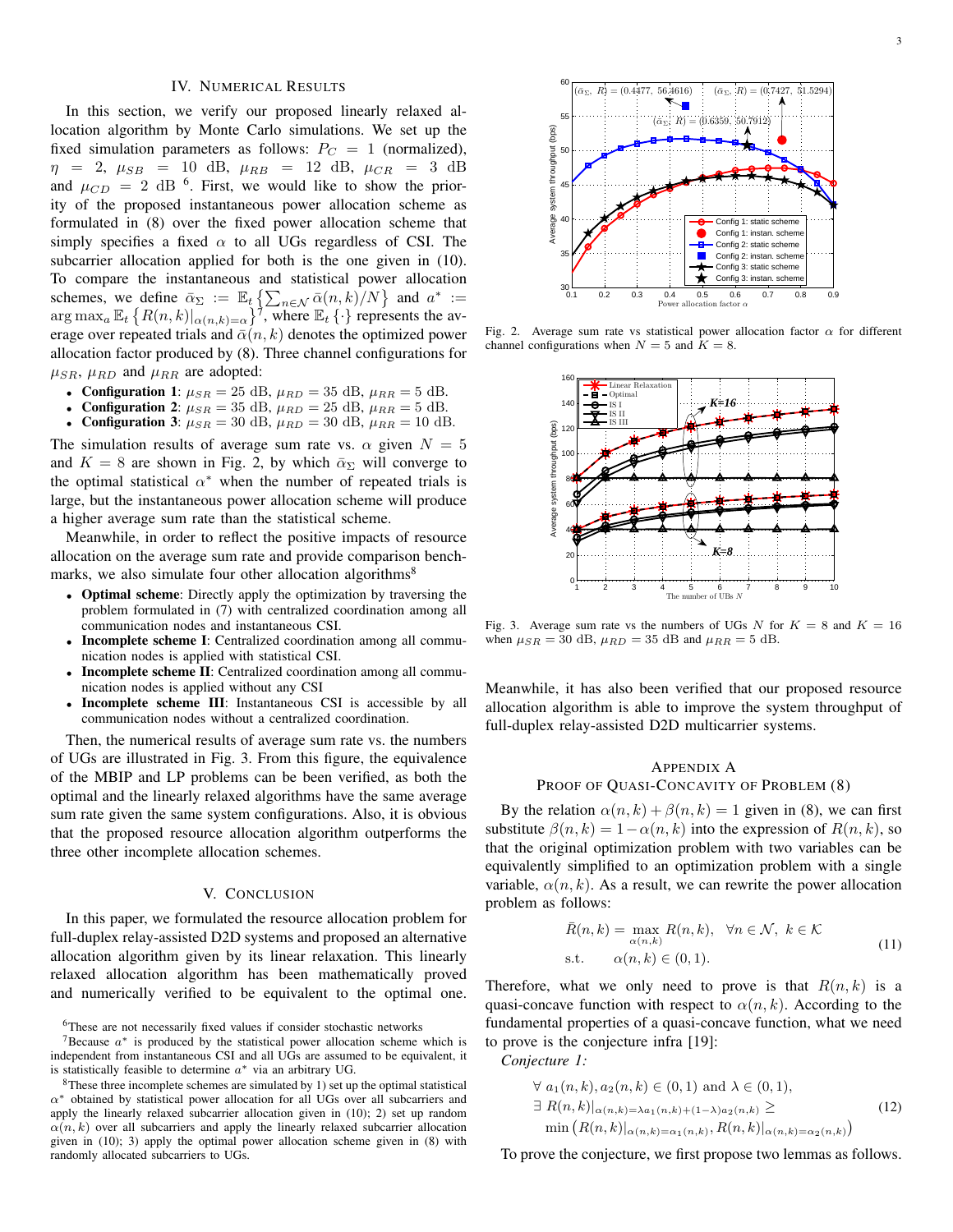#### IV. NUMERICAL RESULTS

In this section, we verify our proposed linearly relaxed allocation algorithm by Monte Carlo simulations. We set up the fixed simulation parameters as follows:  $P_C = 1$  (normalized),  $\eta$  = 2,  $\mu_{SB}$  = 10 dB,  $\mu_{RB}$  = 12 dB,  $\mu_{CR}$  = 3 dB and  $\mu_{CD} = 2$  dB <sup>6</sup>. First, we would like to show the priority of the proposed instantaneous power allocation scheme as formulated in (8) over the fixed power allocation scheme that simply specifies a fixed  $\alpha$  to all UGs regardless of CSI. The subcarrier allocation applied for both is the one given in (10). To compare the instantaneous and statistical power allocation schemes, we define  $\bar{\alpha}_{\Sigma} := \mathbb{E}_t \left\{ \sum_{n \in \mathcal{N}} \bar{\alpha}(n, k) / N \right\}$  and  $a^* :=$  $\arg \max_a \mathbb{E}_t \left\{ R(n,k) |_{\alpha(n,k)=\alpha} \right\}^{\overline{\gamma}}$ , where  $\mathbb{E}_t \left\{ \cdot \right\}$  represents the average over repeated trials and  $\bar{\alpha}(n, k)$  denotes the optimized power allocation factor produced by (8). Three channel configurations for  $\mu_{SR}$ ,  $\mu_{RD}$  and  $\mu_{RR}$  are adopted:

- Configuration 1:  $\mu_{SR} = 25$  dB,  $\mu_{RD} = 35$  dB,  $\mu_{RR} = 5$  dB.
- **Configuration 2:**  $\mu_{SR} = 35$  dB,  $\mu_{RD} = 25$  dB,  $\mu_{RR} = 5$  dB.
- **Configuration 3:**  $\mu_{SR} = 30$  dB,  $\mu_{RD} = 30$  dB,  $\mu_{RR} = 10$  dB.

The simulation results of average sum rate vs.  $\alpha$  given  $N = 5$ and  $K = 8$  are shown in Fig. 2, by which  $\bar{\alpha}_{\Sigma}$  will converge to the optimal statistical  $\alpha^*$  when the number of repeated trials is large, but the instantaneous power allocation scheme will produce a higher average sum rate than the statistical scheme.

Meanwhile, in order to reflect the positive impacts of resource allocation on the average sum rate and provide comparison benchmarks, we also simulate four other allocation algorithms<sup>8</sup>

- Optimal scheme: Directly apply the optimization by traversing the problem formulated in (7) with centralized coordination among all communication nodes and instantaneous CSI.
- Incomplete scheme I: Centralized coordination among all communication nodes is applied with statistical CSI.
- Incomplete scheme II: Centralized coordination among all communication nodes is applied without any CSI
- Incomplete scheme III: Instantaneous CSI is accessible by all communication nodes without a centralized coordination.

Then, the numerical results of average sum rate vs. the numbers of UGs are illustrated in Fig. 3. From this figure, the equivalence of the MBIP and LP problems can be been verified, as both the optimal and the linearly relaxed algorithms have the same average sum rate given the same system configurations. Also, it is obvious that the proposed resource allocation algorithm outperforms the three other incomplete allocation schemes.

#### V. CONCLUSION

In this paper, we formulated the resource allocation problem for full-duplex relay-assisted D2D systems and proposed an alternative allocation algorithm given by its linear relaxation. This linearly relaxed allocation algorithm has been mathematically proved and numerically verified to be equivalent to the optimal one.



Fig. 2. Average sum rate vs statistical power allocation factor  $\alpha$  for different channel configurations when  $N = 5$  and  $K = 8$ .



Fig. 3. Average sum rate vs the numbers of UGs N for  $K = 8$  and  $K = 16$ when  $\mu_{SR} = 30$  dB,  $\mu_{RD} = 35$  dB and  $\mu_{RR} = 5$  dB.

Meanwhile, it has also been verified that our proposed resource allocation algorithm is able to improve the system throughput of full-duplex relay-assisted D2D multicarrier systems.

## APPENDIX A PROOF OF QUASI-CONCAVITY OF PROBLEM (8)

By the relation  $\alpha(n, k) + \beta(n, k) = 1$  given in (8), we can first substitute  $\beta(n, k) = 1 - \alpha(n, k)$  into the expression of  $R(n, k)$ , so that the original optimization problem with two variables can be equivalently simplified to an optimization problem with a single variable,  $\alpha(n, k)$ . As a result, we can rewrite the power allocation problem as follows:

$$
\bar{R}(n,k) = \max_{\alpha(n,k)} R(n,k), \quad \forall n \in \mathcal{N}, \ k \in \mathcal{K}
$$
\n
$$
\text{s.t.} \qquad \alpha(n,k) \in (0,1). \tag{11}
$$

Therefore, what we only need to prove is that  $R(n, k)$  is a quasi-concave function with respect to  $\alpha(n, k)$ . According to the fundamental properties of a quasi-concave function, what we need to prove is the conjecture infra [19]:

*Conjecture 1:*

$$
\forall a_1(n,k), a_2(n,k) \in (0,1) \text{ and } \lambda \in (0,1),
$$
  

$$
\exists R(n,k)|_{\alpha(n,k)=\lambda a_1(n,k)+(1-\lambda)a_2(n,k)} \ge \min(R(n,k)|_{\alpha(n,k)=\alpha_1(n,k)}, R(n,k)|_{\alpha(n,k)=\alpha_2(n,k)})
$$
(12)

To prove the conjecture, we first propose two lemmas as follows.

<sup>6</sup>These are not necessarily fixed values if consider stochastic networks

 $7B$ ecause  $a^*$  is produced by the statistical power allocation scheme which is independent from instantaneous CSI and all UGs are assumed to be equivalent, it is statistically feasible to determine  $a^*$  via an arbitrary UG.

 $8$ These three incomplete schemes are simulated by 1) set up the optimal statistical  $\alpha^*$  obtained by statistical power allocation for all UGs over all subcarriers and apply the linearly relaxed subcarrier allocation given in (10); 2) set up random  $\alpha(n, k)$  over all subcarriers and apply the linearly relaxed subcarrier allocation given in (10); 3) apply the optimal power allocation scheme given in (8) with randomly allocated subcarriers to UGs.